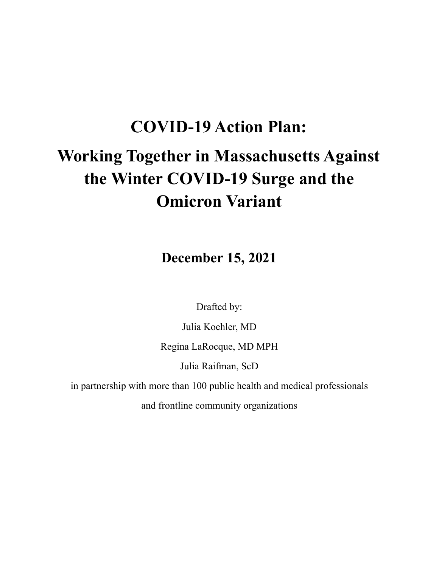## **COVID-19 Action Plan:**

# **Working Together in Massachusetts Against the Winter COVID-19 Surge and the Omicron Variant**

**December 15, 2021**

Drafted by:

Julia Koehler, MD Regina LaRocque, MD MPH

Julia Raifman, ScD

in partnership with more than 100 public health and medical professionals

and frontline community organizations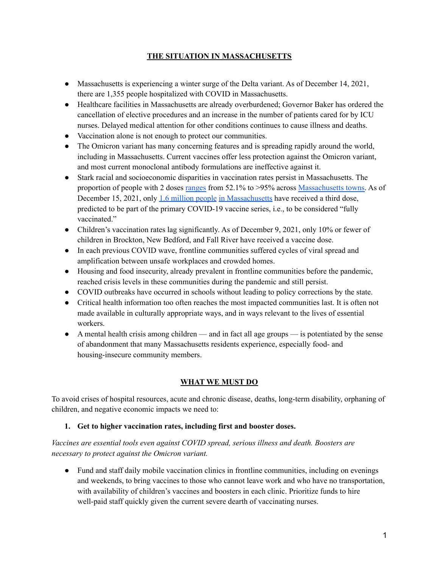## **THE SITUATION IN MASSACHUSETTS**

- Massachusetts is experiencing a winter surge of the Delta variant. As of December 14, 2021, there are 1,355 people hospitalized with COVID in Massachusetts.
- Healthcare facilities in Massachusetts are already overburdened; Governor Baker has ordered the cancellation of elective procedures and an increase in the number of patients cared for by ICU nurses. Delayed medical attention for other conditions continues to cause illness and deaths.
- Vaccination alone is not enough to protect our communities.
- The Omicron variant has many concerning features and is spreading rapidly around the world, including in Massachusetts. Current vaccines offer less protection against the Omicron variant, and most current monoclonal antibody formulations are ineffective against it.
- Stark racial and socioeconomic disparities in vaccination rates persist in Massachusetts. The proportion of people with 2 doses [ranges](https://www.mass.gov/info-details/covid-19-vaccine-equity-initiative-community-specific-vaccination-data) from 52.1% to >95% across [Massachusetts](https://www.mass.gov/info-details/massachusetts-covid-19-vaccination-data-and-updates#weekly-covid-19-municipality-vaccination-data-) towns. As of December 15, 2021, only 1.6 [million](https://www.sentinelandenterprise.com/2021/12/01/massachusetts-reports-2915-new-coronavirus-cases-breakthrough-case-count-stays-high-during-thanksgiving-week/) people in [Massachusetts](https://www.boston.com/news/coronavirus/2021/12/03/massachusetts-covid-hospitalizations-increase-charlie-baker-booster/) have received a third dose, predicted to be part of the primary COVID-19 vaccine series, i.e., to be considered "fully vaccinated."
- Children's vaccination rates lag significantly. As of December 9, 2021, only 10% or fewer of children in Brockton, New Bedford, and Fall River have received a vaccine dose.
- In each previous COVID wave, frontline communities suffered cycles of viral spread and amplification between unsafe workplaces and crowded homes.
- Housing and food insecurity, already prevalent in frontline communities before the pandemic, reached crisis levels in these communities during the pandemic and still persist.
- COVID outbreaks have occurred in schools without leading to policy corrections by the state.
- Critical health information too often reaches the most impacted communities last. It is often not made available in culturally appropriate ways, and in ways relevant to the lives of essential workers.
- $\bullet$  A mental health crisis among children and in fact all age groups is potentiated by the sense of abandonment that many Massachusetts residents experience, especially food- and housing-insecure community members.

## **WHAT WE MUST DO**

To avoid crises of hospital resources, acute and chronic disease, deaths, long-term disability, orphaning of children, and negative economic impacts we need to:

## **1. Get to higher vaccination rates, including first and booster doses.**

*Vaccines are essential tools even against COVID spread, serious illness and death. Boosters are necessary to protect against the Omicron variant.*

• Fund and staff daily mobile vaccination clinics in frontline communities, including on evenings and weekends, to bring vaccines to those who cannot leave work and who have no transportation, with availability of children's vaccines and boosters in each clinic. Prioritize funds to hire well-paid staff quickly given the current severe dearth of vaccinating nurses.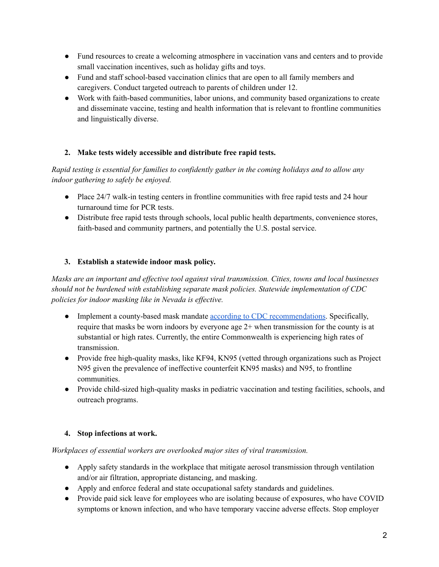- Fund resources to create a welcoming atmosphere in vaccination vans and centers and to provide small vaccination incentives, such as holiday gifts and toys.
- Fund and staff school-based vaccination clinics that are open to all family members and caregivers. Conduct targeted outreach to parents of children under 12.
- Work with faith-based communities, labor unions, and community based organizations to create and disseminate vaccine, testing and health information that is relevant to frontline communities and linguistically diverse.

## **2. Make tests widely accessible and distribute free rapid tests.**

*Rapid testing is essential for families to confidently gather in the coming holidays and to allow any indoor gathering to safely be enjoyed.*

- Place 24/7 walk-in testing centers in frontline communities with free rapid tests and 24 hour turnaround time for PCR tests.
- Distribute free rapid tests through schools, local public health departments, convenience stores, faith-based and community partners, and potentially the U.S. postal service.

## **3. Establish a statewide indoor mask policy.**

*Masks are an important and ef ective tool against viral transmission. Cities, towns and local businesses should not be burdened with establishing separate mask policies. Statewide implementation of CDC policies for indoor masking like in Nevada is ef ective.*

- Implement a county-based mask mandate <u>according to CDC [recommendations](https://www.cdc.gov/coronavirus/2019-ncov/vaccines/fully-vaccinated-guidance.html)</u>. Specifically, require that masks be worn indoors by everyone age 2+ when transmission for the county is at substantial or high rates. Currently, the entire Commonwealth is experiencing high rates of transmission.
- Provide free high-quality masks, like KF94, KN95 (vetted through organizations such as Project N95 given the prevalence of ineffective counterfeit KN95 masks) and N95, to frontline communities.
- Provide child-sized high-quality masks in pediatric vaccination and testing facilities, schools, and outreach programs.

## **4. Stop infections at work.**

*Workplaces of essential workers are overlooked major sites of viral transmission.*

- Apply safety standards in the workplace that mitigate aerosol transmission through ventilation and/or air filtration, appropriate distancing, and masking.
- Apply and enforce federal and state occupational safety standards and guidelines.
- Provide paid sick leave for employees who are isolating because of exposures, who have COVID symptoms or known infection, and who have temporary vaccine adverse effects. Stop employer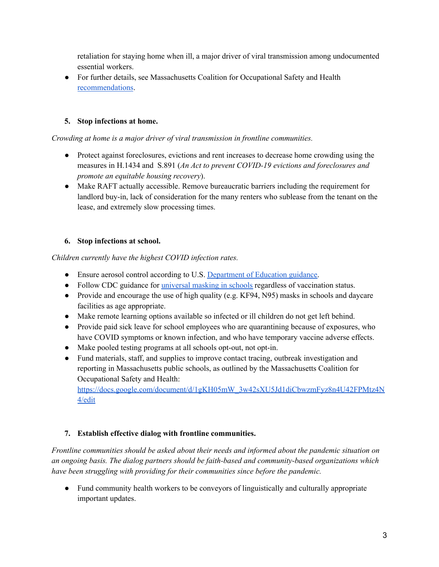retaliation for staying home when ill, a major driver of viral transmission among undocumented essential workers.

• For further details, see Massachusetts Coalition for Occupational Safety and Health [recommendations](https://docs.google.com/document/d/182kYMActbecjSo4A2hHJj_QTRVlt0QEypNgUEp2J_Bo/edit).

## **5. Stop infections at home.**

*Crowding at home is a major driver of viral transmission in frontline communities.*

- Protect against foreclosures, evictions and rent increases to decrease home crowding using the measures in H.1434 and S.891 (*An Act to prevent COVID-19 evictions and foreclosures and promote an equitable housing recovery*).
- Make RAFT actually accessible. Remove bureaucratic barriers including the requirement for landlord buy-in, lack of consideration for the many renters who sublease from the tenant on the lease, and extremely slow processing times.

## **6. Stop infections at school.**

*Children currently have the highest COVID infection rates.*

- Ensure aerosol control according to U.S. [Department](https://www.ed.gov/coronavirus/improving-ventilation) of Education guidance.
- Follow CDC guidance for [universal](https://www.cdc.gov/coronavirus/2019-ncov/community/schools-childcare/k-12-guidance.html) masking in schools regardless of vaccination status.
- Provide and encourage the use of high quality (e.g. KF94, N95) masks in schools and daycare facilities as age appropriate.
- Make remote learning options available so infected or ill children do not get left behind.
- Provide paid sick leave for school employees who are quarantining because of exposures, who have COVID symptoms or known infection, and who have temporary vaccine adverse effects.
- Make pooled testing programs at all schools opt-out, not opt-in.
- Fund materials, staff, and supplies to improve contact tracing, outbreak investigation and reporting in Massachusetts public schools, as outlined by the Massachusetts Coalition for Occupational Safety and Health:

[https://docs.google.com/document/d/1gKH05mW\\_3w42sXU5Jd1diCbwzmFyz8n4U42FPMtz4N](https://docs.google.com/document/d/1gKH05mW_3w42sXU5Jd1diCbwzmFyz8n4U42FPMtz4N4/edit) [4/edit](https://docs.google.com/document/d/1gKH05mW_3w42sXU5Jd1diCbwzmFyz8n4U42FPMtz4N4/edit)

## **7. Establish effective dialog with frontline communities.**

*Frontline communities should be asked about their needs and informed about the pandemic situation on an ongoing basis. The dialog partners should be faith-based and community-based organizations which have been struggling with providing for their communities since before the pandemic.*

● Fund community health workers to be conveyors of linguistically and culturally appropriate important updates.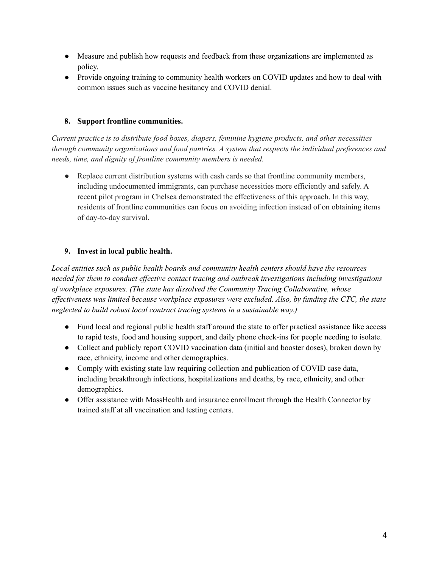- Measure and publish how requests and feedback from these organizations are implemented as policy.
- Provide ongoing training to community health workers on COVID updates and how to deal with common issues such as vaccine hesitancy and COVID denial.

## **8. Support frontline communities.**

*Current practice is to distribute food boxes, diapers, feminine hygiene products, and other necessities through community organizations and food pantries. A system that respects the individual preferences and needs, time, and dignity of frontline community members is needed.*

• Replace current distribution systems with cash cards so that frontline community members, including undocumented immigrants, can purchase necessities more efficiently and safely. A recent pilot program in Chelsea demonstrated the effectiveness of this approach. In this way, residents of frontline communities can focus on avoiding infection instead of on obtaining items of day-to-day survival.

## **9. Invest in local public health.**

*Local entities such as public health boards and community health centers should have the resources needed for them to conduct ef ective contact tracing and outbreak investigations including investigations of workplace exposures. (The state has dissolved the Community Tracing Collaborative, whose ef ectiveness was limited because workplace exposures were excluded. Also, by funding the CTC, the state neglected to build robust local contract tracing systems in a sustainable way.)*

- Fund local and regional public health staff around the state to offer practical assistance like access to rapid tests, food and housing support, and daily phone check-ins for people needing to isolate.
- Collect and publicly report COVID vaccination data (initial and booster doses), broken down by race, ethnicity, income and other demographics.
- Comply with existing state law requiring collection and publication of COVID case data, including breakthrough infections, hospitalizations and deaths, by race, ethnicity, and other demographics.
- Offer assistance with MassHealth and insurance enrollment through the Health Connector by trained staff at all vaccination and testing centers.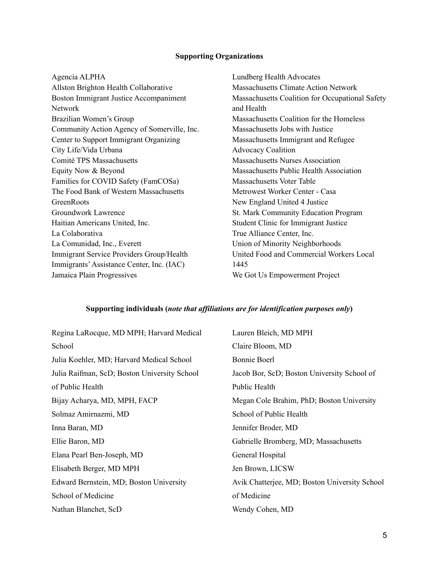## **Supporting Organizations**

| Agencia ALPHA                               | Lundberg Health Advocates                       |
|---------------------------------------------|-------------------------------------------------|
| Allston Brighton Health Collaborative       | <b>Massachusetts Climate Action Network</b>     |
| Boston Immigrant Justice Accompaniment      | Massachusetts Coalition for Occupational Safety |
| <b>Network</b>                              | and Health                                      |
| Brazilian Women's Group                     | Massachusetts Coalition for the Homeless        |
| Community Action Agency of Somerville, Inc. | Massachusetts Jobs with Justice                 |
| Center to Support Immigrant Organizing      | Massachusetts Immigrant and Refugee             |
| City Life/Vida Urbana                       | <b>Advocacy Coalition</b>                       |
| Comité TPS Massachusetts                    | <b>Massachusetts Nurses Association</b>         |
| Equity Now & Beyond                         | Massachusetts Public Health Association         |
| Families for COVID Safety (FamCOSa)         | Massachusetts Voter Table                       |
| The Food Bank of Western Massachusetts      | Metrowest Worker Center - Casa                  |
| GreenRoots                                  | New England United 4 Justice                    |
| Groundwork Lawrence                         | St. Mark Community Education Program            |
| Haitian Americans United, Inc.              | Student Clinic for Immigrant Justice            |
| La Colaborativa                             | True Alliance Center, Inc.                      |
| La Comunidad, Inc., Everett                 | Union of Minority Neighborhoods                 |
| Immigrant Service Providers Group/Health    | United Food and Commercial Workers Local        |
| Immigrants' Assistance Center, Inc. (IAC)   | 1445                                            |
| Jamaica Plain Progressives                  | We Got Us Empowerment Project                   |
|                                             |                                                 |

## **Supporting individuals (***note that af iliations are for identification purposes only***)**

| Regina LaRocque, MD MPH; Harvard Medical     | Lauren Bleich, MD MPH                         |
|----------------------------------------------|-----------------------------------------------|
| School                                       | Claire Bloom, MD                              |
| Julia Koehler, MD; Harvard Medical School    | Bonnie Boerl                                  |
| Julia Raifman, ScD; Boston University School | Jacob Bor, ScD; Boston University School of   |
| of Public Health                             | Public Health                                 |
| Bijay Acharya, MD, MPH, FACP                 | Megan Cole Brahim, PhD; Boston University     |
| Solmaz Amirnazmi, MD                         | School of Public Health                       |
| Inna Baran, MD                               | Jennifer Broder, MD                           |
| Ellie Baron, MD                              | Gabrielle Bromberg, MD; Massachusetts         |
| Elana Pearl Ben-Joseph, MD                   | General Hospital                              |
| Elisabeth Berger, MD MPH                     | Jen Brown, LICSW                              |
| Edward Bernstein, MD; Boston University      | Avik Chatterjee, MD; Boston University School |
| School of Medicine                           | of Medicine                                   |
| Nathan Blanchet, ScD                         | Wendy Cohen, MD                               |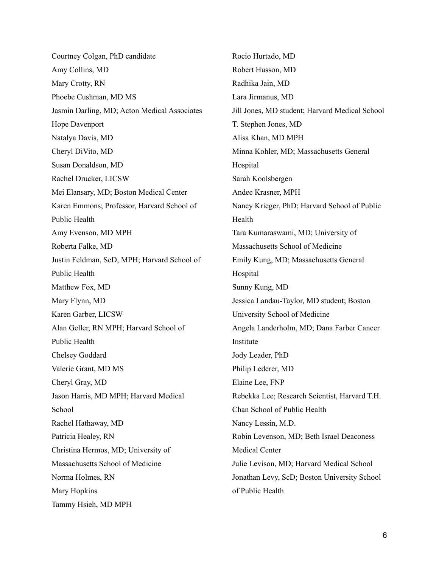| Courtney Colgan, PhD candidate               | Rocio Hurtado, MD                              |
|----------------------------------------------|------------------------------------------------|
| Amy Collins, MD                              | Robert Husson, MD                              |
| Mary Crotty, RN                              | Radhika Jain, MD                               |
| Phoebe Cushman, MD MS                        | Lara Jirmanus, MD                              |
| Jasmin Darling, MD; Acton Medical Associates | Jill Jones, MD student; Harvard Medical School |
| Hope Davenport                               | T. Stephen Jones, MD                           |
| Natalya Davis, MD                            | Alisa Khan, MD MPH                             |
| Cheryl DiVito, MD                            | Minna Kohler, MD; Massachusetts General        |
| Susan Donaldson, MD                          | Hospital                                       |
| Rachel Drucker, LICSW                        | Sarah Koolsbergen                              |
| Mei Elansary, MD; Boston Medical Center      | Andee Krasner, MPH                             |
| Karen Emmons; Professor, Harvard School of   | Nancy Krieger, PhD; Harvard School of Public   |
| Public Health                                | Health                                         |
| Amy Evenson, MD MPH                          | Tara Kumaraswami, MD; University of            |
| Roberta Falke, MD                            | Massachusetts School of Medicine               |
| Justin Feldman, ScD, MPH; Harvard School of  | Emily Kung, MD; Massachusetts General          |
| Public Health                                | Hospital                                       |
| Matthew Fox, MD                              | Sunny Kung, MD                                 |
| Mary Flynn, MD                               | Jessica Landau-Taylor, MD student; Boston      |
| Karen Garber, LICSW                          | University School of Medicine                  |
| Alan Geller, RN MPH; Harvard School of       | Angela Landerholm, MD; Dana Farber Cancer      |
| Public Health                                | Institute                                      |
| Chelsey Goddard                              | Jody Leader, PhD                               |
| Valerie Grant, MD MS                         | Philip Lederer, MD                             |
| Cheryl Gray, MD                              | Elaine Lee, FNP                                |
| Jason Harris, MD MPH; Harvard Medical        | Rebekka Lee; Research Scientist, Harvard T.H.  |
| School                                       | Chan School of Public Health                   |
| Rachel Hathaway, MD                          | Nancy Lessin, M.D.                             |
| Patricia Healey, RN                          | Robin Levenson, MD; Beth Israel Deaconess      |
| Christina Hermos, MD; University of          | <b>Medical Center</b>                          |
| Massachusetts School of Medicine             | Julie Levison, MD; Harvard Medical School      |
| Norma Holmes, RN                             | Jonathan Levy, ScD; Boston University School   |
| Mary Hopkins                                 | of Public Health                               |
| Tammy Hsieh, MD MPH                          |                                                |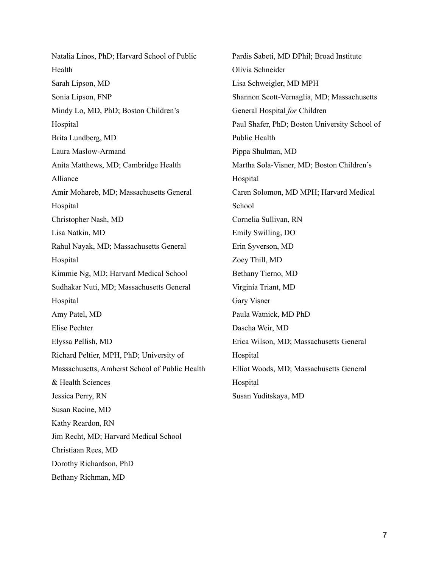Natalia Linos, PhD; Harvard School of Public Health Sarah Lipson, MD Sonia Lipson, FNP Mindy Lo, MD, PhD; Boston Children's Hospital Brita Lundberg, MD Laura Maslow-Armand Anita Matthews, MD; Cambridge Health Alliance Amir Mohareb, MD; Massachusetts General Hospital Christopher Nash, MD Lisa Natkin, MD Rahul Nayak, MD; Massachusetts General Hospital Kimmie Ng, MD; Harvard Medical School Sudhakar Nuti, MD; Massachusetts General Hospital Amy Patel, MD Elise Pechter Elyssa Pellish, MD Richard Peltier, MPH, PhD; University of Massachusetts, Amherst School of Public Health & Health Sciences Jessica Perry, RN Susan Racine, MD Kathy Reardon, RN Jim Recht, MD; Harvard Medical School Christiaan Rees, MD Dorothy Richardson, PhD Bethany Richman, MD

Pardis Sabeti, MD DPhil; Broad Institute Olivia Schneider Lisa Schweigler, MD MPH Shannon Scott-Vernaglia, MD; Massachusetts General Hospital *for* Children Paul Shafer, PhD; Boston University School of Public Health Pippa Shulman, MD Martha Sola-Visner, MD; Boston Children's Hospital Caren Solomon, MD MPH; Harvard Medical School Cornelia Sullivan, RN Emily Swilling, DO Erin Syverson, MD Zoey Thill, MD Bethany Tierno, MD Virginia Triant, MD Gary Visner Paula Watnick, MD PhD Dascha Weir, MD Erica Wilson, MD; Massachusetts General Hospital Elliot Woods, MD; Massachusetts General Hospital Susan Yuditskaya, MD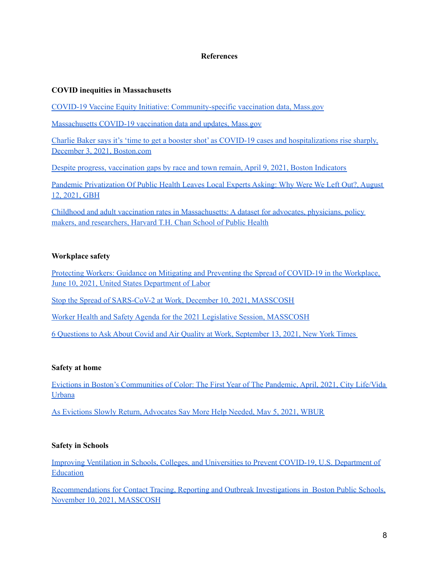#### **References**

### **COVID inequities in Massachusetts**

COVID-19 Vaccine Equity Initiative: [Community-specific](https://www.mass.gov/info-details/covid-19-vaccine-equity-initiative-community-specific-vaccination-data) vaccination data, Mass.gov

[Massachusetts](https://www.mass.gov/info-details/massachusetts-covid-19-vaccination-data-and-updates#weekly-covid-19-municipality-vaccination-data-) COVID-19 vaccination data and updates, Mass.gov

Charlie Baker says it's 'time to get a booster shot' as COVID-19 cases and [hospitalizations](https://www.boston.com/news/coronavirus/2021/12/03/massachusetts-covid-hospitalizations-increase-charlie-baker-booster/) rise sharply, December 3, 2021, [Boston.com](https://www.boston.com/news/coronavirus/2021/12/03/massachusetts-covid-hospitalizations-increase-charlie-baker-booster/)

Despite progress, [vaccination](https://www.bostonindicators.org/reports/report-website-pages/covid_indicators-x2/2021/april/vaccinations) gaps by race and town remain, April 9, 2021, Boston Indicators

Pandemic [Privatization](https://www.wgbh.org/news/local-news/2021/08/12/pandemic-privatization-of-public-health-leaves-local-experts-asking-why-were-we-left-out) Of Public Health Leaves Local Experts Asking: Why Were We Left Out?, August 12, [2021,](https://www.wgbh.org/news/local-news/2021/08/12/pandemic-privatization-of-public-health-leaves-local-experts-asking-why-were-we-left-out) GBH

Childhood and adult vaccination rates in [Massachusetts:](https://www.hsph.harvard.edu/coronavirus/childhood-and-adult-vaccination-rates-in-massachusetts/) A dataset for advocates, physicians, policy makers, and [researchers,](https://www.hsph.harvard.edu/coronavirus/childhood-and-adult-vaccination-rates-in-massachusetts/) Harvard T.H. Chan School of Public Health

## **Workplace safety**

Protecting Workers: Guidance on Mitigating and Preventing the Spread of COVID-19 in the [Workplace,](https://www.osha.gov/coronavirus/safework) June 10, 2021, United States [Department](https://www.osha.gov/coronavirus/safework) of Labor

Stop the Spread of [SARS-CoV-2](https://docs.google.com/document/d/182kYMActbecjSo4A2hHJj_QTRVlt0QEypNgUEp2J_Bo/edit) at Work, December 10, 2021, MASSCOSH

Worker Health and Safety Agenda for the 2021 Legislative Session, [MASSCOSH](http://www.masscosh.org/policy-advocacy/worker-health-and-safety-agenda-2021-legislative-session)

6 Questions to Ask About Covid and Air Quality at Work, [September](https://www.nytimes.com/2021/09/13/well/covid-indoor-air-quality.html) 13, 2021, New York Times

#### **Safety at home**

Evictions in Boston's [Communities](https://d3n8a8pro7vhmx.cloudfront.net/clvu/pages/2779/attachments/original/1618424939/COVID-19_eviction_report_April_2021.pdf?1618424939) of Color: The First Year of The Pandemic, April, 2021, City Life/Vida [Urbana](https://d3n8a8pro7vhmx.cloudfront.net/clvu/pages/2779/attachments/original/1618424939/COVID-19_eviction_report_April_2021.pdf?1618424939)

As Evictions Slowly Return, [Advocates](https://www.wbur.org/news/2021/05/05/massachusetts-eviction-cases-pandemic-housing) Say More Help Needed, May 5, 2021, WBUR

#### **Safety in Schools**

Improving Ventilation in Schools, Colleges, and [Universities](https://www.ed.gov/improving-ventilation-schools-colleges-and-universities-prevent-covid-19) to Prevent COVID-19, U.S. Department of [Education](https://www.ed.gov/improving-ventilation-schools-colleges-and-universities-prevent-covid-19)

[Recommendations](https://docs.google.com/document/d/1gKH05mW_3w42sXU5Jd1diCbwzmFyz8n4U42FPMtz4N4/edit?usp=sharing) for Contact Tracing, Reporting and Outbreak Investigations in Boston Public Schools, November 10, 2021, [MASSCOSH](https://docs.google.com/document/d/1gKH05mW_3w42sXU5Jd1diCbwzmFyz8n4U42FPMtz4N4/edit?usp=sharing)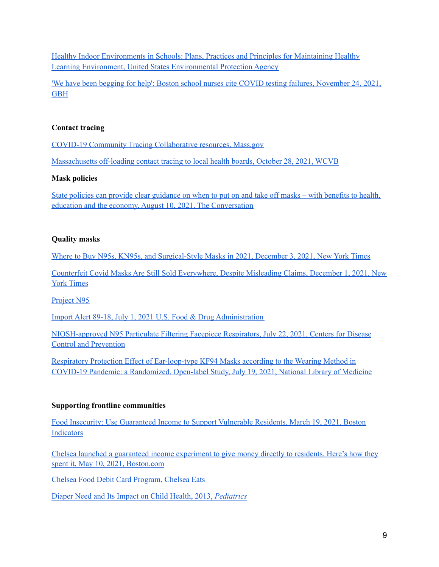Healthy Indoor [Environments](https://www.epa.gov/iaq-schools/healthy-indoor-environments-schools-plans-practices-and-principles-maintaining-healthy) in Schools: Plans, Practices and Principles for Maintaining Healthy Learning Environment, United States [Environmental](https://www.epa.gov/iaq-schools/healthy-indoor-environments-schools-plans-practices-and-principles-maintaining-healthy) Protection Agency

'We have been begging for help': Boston school nurses cite COVID testing failures, [November](https://www.wgbh.org/news/local-news/2021/11/24/we-have-been-begging-for-help-boston-school-nurses-cite-covid-testing-failures) 24, 2021, **[GBH](https://www.wgbh.org/news/local-news/2021/11/24/we-have-been-begging-for-help-boston-school-nurses-cite-covid-testing-failures)** 

## **Contact tracing**

COVID-19 Community Tracing [Collaborative](https://www.mass.gov/covid-19-community-tracing-collaborative-resources) resources, Mass.gov

[Massachusetts](https://www.wcvb.com/article/massachusetts-off-loading-contact-tracing-to-local-health-boards/38091609) off-loading contact tracing to local health boards, October 28, 2021, WCVB

### **Mask policies**

State policies can provide clear [guidance](https://urldefense.com/v3/__https://theconversation.com/state-policies-can-provide-clear-guidance-on-when-to-put-on-and-take-off-masks-with-benefits-to-health-education-and-the-economy-165521__;!!NZvER7FxgEiBAiR_!6kscRAjytrKilDn881Dqarg8ElqfPAspuT7HUt1Jlv2EALB2xHYAxVWIP_4_aHrWF_jfofsEg-f6kA$) on when to put on and take off masks – with benefits to health, education and the economy, August 10, 2021, The [Conversation](https://urldefense.com/v3/__https://theconversation.com/state-policies-can-provide-clear-guidance-on-when-to-put-on-and-take-off-masks-with-benefits-to-health-education-and-the-economy-165521__;!!NZvER7FxgEiBAiR_!6kscRAjytrKilDn881Dqarg8ElqfPAspuT7HUt1Jlv2EALB2xHYAxVWIP_4_aHrWF_jfofsEg-f6kA$)

## **Quality masks**

Where to Buy N95s, KN95s, and [Surgical-Style](https://www.nytimes.com/wirecutter/reviews/where-to-buy-n95-kn95-masks-online/) Masks in 2021, December 3, 2021, New York Times

Counterfeit Covid Masks Are Still Sold [Everywhere,](https://www.nytimes.com/2021/11/30/health/covid-masks-counterfeit-fake.html) Despite Misleading Claims, December 1, 2021, New York [Times](https://www.nytimes.com/2021/11/30/health/covid-masks-counterfeit-fake.html)

[Project](https://www.projectn95.org/) N95

Import Alert 89-18, July 1, 2021 U.S. Food & Drug [Administration](https://www.accessdata.fda.gov/cms_ia/importalert_1165.html)

[NIOSH-approved](https://www.cdc.gov/niosh/npptl/topics/respirators/disp_part/n95list1.html) N95 Particulate Filtering Facepiece Respirators, July 22, 2021, Centers for Disease Control and [Prevention](https://www.cdc.gov/niosh/npptl/topics/respirators/disp_part/n95list1.html)

Respiratory Protection Effect of [Ear-loop-type](https://pubmed.ncbi.nlm.nih.gov/34282608/) KF94 Masks according to the Wearing Method in COVID-19 Pandemic: a [Randomized,](https://pubmed.ncbi.nlm.nih.gov/34282608/) Open-label Study, July 19, 2021, National Library of Medicine

## **Supporting frontline communities**

Food Insecurity: Use [Guaranteed](https://www.bostonindicators.org/reports/report-website-pages/covid_indicators-x2/recovery-series/guaranteed_income) Income to Support Vulnerable Residents, March 19, 2021, Boston [Indicators](https://www.bostonindicators.org/reports/report-website-pages/covid_indicators-x2/recovery-series/guaranteed_income)

Chelsea launched a guaranteed income [experiment](https://www.boston.com/news/local-news/2021/05/10/chelsea-guaranteed-income-program-spending/) to give money directly to residents. Here's how they spent it, May 10, 2021, [Boston.com](https://www.boston.com/news/local-news/2021/05/10/chelsea-guaranteed-income-program-spending/)

Chelsea Food Debit Card [Program,](https://www.chelseama.gov/ChelseaEats) Chelsea Eats

Diaper Need and Its Impact on Child Health, 2013, *[Pediatrics](https://www.ncbi.nlm.nih.gov/pmc/articles/PMC3727676/)*